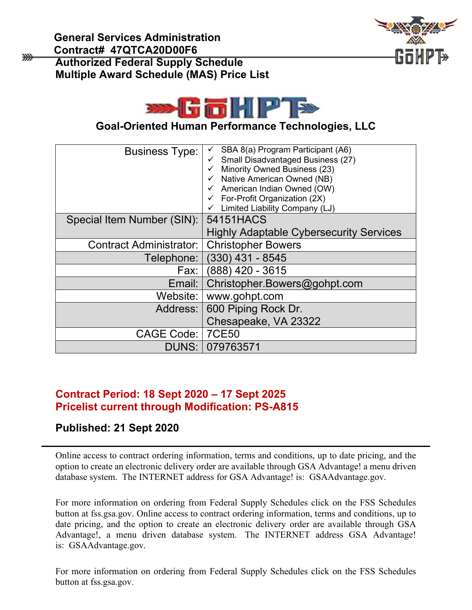₩





**Goal-Oriented Human Performance Technologies, LLC** 

| <b>Business Type:</b>      | SBA 8(a) Program Participant (A6)<br>Small Disadvantaged Business (27)<br>Minority Owned Business (23)<br>Native American Owned (NB)<br>American Indian Owned (OW)<br>For-Profit Organization (2X)<br>Limited Liability Company (LJ) |
|----------------------------|--------------------------------------------------------------------------------------------------------------------------------------------------------------------------------------------------------------------------------------|
| Special Item Number (SIN): | 54151HACS                                                                                                                                                                                                                            |
|                            | <b>Highly Adaptable Cybersecurity Services</b>                                                                                                                                                                                       |
| Contract Administrator:    | <b>Christopher Bowers</b>                                                                                                                                                                                                            |
| Telephone:                 | $(330)$ 431 - 8545                                                                                                                                                                                                                   |
| Fax: I                     | (888) 420 - 3615                                                                                                                                                                                                                     |
| Email:                     | Christopher.Bowers@gohpt.com                                                                                                                                                                                                         |
| Website:                   | www.gohpt.com                                                                                                                                                                                                                        |
| Address:                   | 600 Piping Rock Dr.                                                                                                                                                                                                                  |
|                            | Chesapeake, VA 23322                                                                                                                                                                                                                 |
| CAGE Code:                 | <b>7CE50</b>                                                                                                                                                                                                                         |
|                            | DUNS: 079763571                                                                                                                                                                                                                      |

### **Contract Period: 18 Sept 2020 – 17 Sept 2025 Pricelist current through Modification: PS-A815**

#### **Published: 21 Sept 2020**

Online access to contract ordering information, terms and conditions, up to date pricing, and the option to create an electronic delivery order are available through GSA Advantage! a menu driven database system. The INTERNET address for GSA Advantage! is: GSAAdvantage.gov.

For more information on ordering from Federal Supply Schedules click on the FSS Schedules button at fss.gsa.gov. Online access to contract ordering information, terms and conditions, up to date pricing, and the option to create an electronic delivery order are available through GSA Advantage!, a menu driven database system. The INTERNET address GSA Advantage! is: GSAAdvantage.gov.

For more information on ordering from Federal Supply Schedules click on the FSS Schedules button at fss.gsa.gov.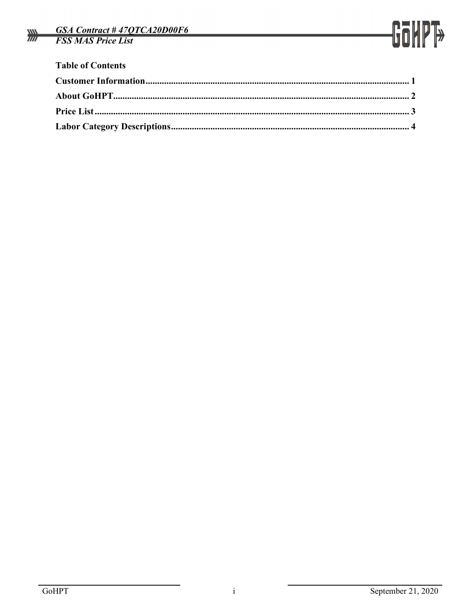

| <b>Table of Contents</b> |  |
|--------------------------|--|
|                          |  |
|                          |  |
|                          |  |
|                          |  |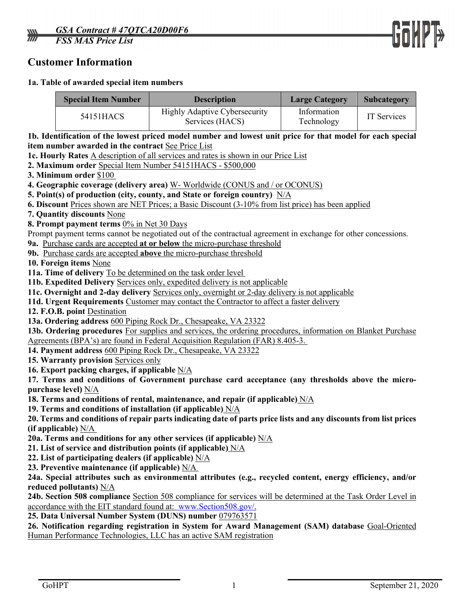

#### <span id="page-2-0"></span>**Customer Information**

#### **1a. Table of awarded special item numbers**

|                                                                                                                  | <b>Special Item Number</b>                                                                                 | <b>Description</b>                                                                                            | <b>Large Category</b>     | Subcategory                                              |  |  |  |  |  |
|------------------------------------------------------------------------------------------------------------------|------------------------------------------------------------------------------------------------------------|---------------------------------------------------------------------------------------------------------------|---------------------------|----------------------------------------------------------|--|--|--|--|--|
| 54151HACS                                                                                                        |                                                                                                            | <b>Highly Adaptive Cybersecurity</b><br>Services (HACS)                                                       | Information<br>Technology | IT Services                                              |  |  |  |  |  |
|                                                                                                                  | 1b. Identification of the lowest priced model number and lowest unit price for that model for each special |                                                                                                               |                           |                                                          |  |  |  |  |  |
|                                                                                                                  | item number awarded in the contract See Price List                                                         |                                                                                                               |                           |                                                          |  |  |  |  |  |
|                                                                                                                  | 1c. Hourly Rates A description of all services and rates is shown in our Price List                        |                                                                                                               |                           |                                                          |  |  |  |  |  |
|                                                                                                                  |                                                                                                            | 2. Maximum order Special Item Number 54151HACS - \$500,000                                                    |                           |                                                          |  |  |  |  |  |
|                                                                                                                  | 3. Minimum order \$100                                                                                     |                                                                                                               |                           |                                                          |  |  |  |  |  |
|                                                                                                                  |                                                                                                            | 4. Geographic coverage (delivery area) W- Worldwide (CONUS and / or OCONUS)                                   |                           |                                                          |  |  |  |  |  |
|                                                                                                                  |                                                                                                            | 5. Point(s) of production (city, county, and State or foreign country) $N/A$                                  |                           |                                                          |  |  |  |  |  |
|                                                                                                                  |                                                                                                            | 6. Discount Prices shown are NET Prices; a Basic Discount (3-10% from list price) has been applied            |                           |                                                          |  |  |  |  |  |
|                                                                                                                  | 7. Quantity discounts None                                                                                 |                                                                                                               |                           |                                                          |  |  |  |  |  |
|                                                                                                                  | 8. Prompt payment terms 0% in Net 30 Days                                                                  |                                                                                                               |                           |                                                          |  |  |  |  |  |
|                                                                                                                  |                                                                                                            | Prompt payment terms cannot be negotiated out of the contractual agreement in exchange for other concessions. |                           |                                                          |  |  |  |  |  |
|                                                                                                                  |                                                                                                            | 9a. Purchase cards are accepted at or below the micro-purchase threshold                                      |                           |                                                          |  |  |  |  |  |
|                                                                                                                  |                                                                                                            | 9b. Purchase cards are accepted above the micro-purchase threshold                                            |                           |                                                          |  |  |  |  |  |
|                                                                                                                  | 10. Foreign items None                                                                                     |                                                                                                               |                           |                                                          |  |  |  |  |  |
|                                                                                                                  |                                                                                                            | 11a. Time of delivery To be determined on the task order level                                                |                           |                                                          |  |  |  |  |  |
|                                                                                                                  |                                                                                                            | 11b. Expedited Delivery Services only, expedited delivery is not applicable                                   |                           |                                                          |  |  |  |  |  |
|                                                                                                                  |                                                                                                            | 11c. Overnight and 2-day delivery Services only, overnight or 2-day delivery is not applicable                |                           |                                                          |  |  |  |  |  |
|                                                                                                                  |                                                                                                            | 11d. Urgent Requirements Customer may contact the Contractor to affect a faster delivery                      |                           |                                                          |  |  |  |  |  |
|                                                                                                                  | 12. F.O.B. point Destination                                                                               |                                                                                                               |                           |                                                          |  |  |  |  |  |
|                                                                                                                  |                                                                                                            | 13a. Ordering address 600 Piping Rock Dr., Chesapeake, VA 23322                                               |                           |                                                          |  |  |  |  |  |
|                                                                                                                  |                                                                                                            | 13b. Ordering procedures For supplies and services, the ordering procedures, information on Blanket Purchase  |                           |                                                          |  |  |  |  |  |
|                                                                                                                  |                                                                                                            | Agreements (BPA's) are found in Federal Acquisition Regulation (FAR) 8.405-3.                                 |                           |                                                          |  |  |  |  |  |
|                                                                                                                  |                                                                                                            | 14. Payment address 600 Piping Rock Dr., Chesapeake, VA 23322                                                 |                           |                                                          |  |  |  |  |  |
|                                                                                                                  | 15. Warranty provision Services only                                                                       |                                                                                                               |                           |                                                          |  |  |  |  |  |
|                                                                                                                  | 16. Export packing charges, if applicable $N/A$                                                            |                                                                                                               |                           |                                                          |  |  |  |  |  |
|                                                                                                                  |                                                                                                            | 17. Terms and conditions of Government purchase card acceptance (any thresholds above the micro-              |                           |                                                          |  |  |  |  |  |
|                                                                                                                  | purchase level) <u>N/A</u>                                                                                 |                                                                                                               |                           |                                                          |  |  |  |  |  |
|                                                                                                                  | 18. Terms and conditions of rental, maintenance, and repair (if applicable) $N/A$                          |                                                                                                               |                           |                                                          |  |  |  |  |  |
| 19. Terms and conditions of installation (if applicable) $N/A$                                                   |                                                                                                            |                                                                                                               |                           |                                                          |  |  |  |  |  |
| 20. Terms and conditions of repair parts indicating date of parts price lists and any discounts from list prices |                                                                                                            |                                                                                                               |                           |                                                          |  |  |  |  |  |
| (if applicable) $N/A$                                                                                            |                                                                                                            |                                                                                                               |                           |                                                          |  |  |  |  |  |
| 20a. Terms and conditions for any other services (if applicable) $\underline{N/A}$                               |                                                                                                            |                                                                                                               |                           |                                                          |  |  |  |  |  |
| 21. List of service and distribution points (if applicable) $N/A$                                                |                                                                                                            |                                                                                                               |                           |                                                          |  |  |  |  |  |
| 22. List of participating dealers (if applicable) $\frac{N}{A}$                                                  |                                                                                                            |                                                                                                               |                           |                                                          |  |  |  |  |  |
|                                                                                                                  | 23. Preventive maintenance (if applicable) $N/A$                                                           |                                                                                                               |                           |                                                          |  |  |  |  |  |
| 24a. Special attributes such as environmental attributes (e.g., recycled content, energy efficiency, and/or      |                                                                                                            |                                                                                                               |                           |                                                          |  |  |  |  |  |
| reduced pollutants) N/A                                                                                          |                                                                                                            |                                                                                                               |                           |                                                          |  |  |  |  |  |
| 24b. Section 508 compliance Section 508 compliance for services will be determined at the Task Order Level in    |                                                                                                            |                                                                                                               |                           |                                                          |  |  |  |  |  |
|                                                                                                                  | accordance with the EIT standard found at: www.Section508.gov/.                                            |                                                                                                               |                           |                                                          |  |  |  |  |  |
|                                                                                                                  |                                                                                                            |                                                                                                               |                           | 25. Data Universal Number System (DUNS) number 079763571 |  |  |  |  |  |

**26. Notification regarding registration in System for Award Management (SAM) database** Goal-Oriented Human Performance Technologies, LLC has an active SAM registration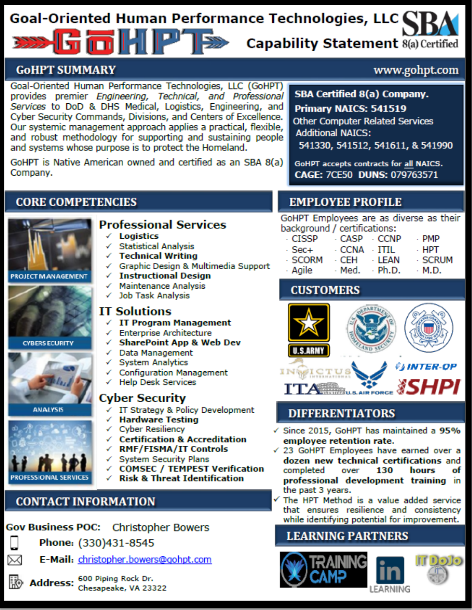# Goal-Oriented Human Performance Technologies, LLC GaHP\* **Capability Statement 8(a) Certified**

### <span id="page-3-0"></span>**GOHPT SUMMARY**

Goal-Oriented Human Performance Technologies, LLC (GoHPT) provides premier Engineering, Technical, and Professional Services to DoD & DHS Medical, Logistics, Engineering, and Cyber Security Commands, Divisions, and Centers of Excellence. Our systemic management approach applies a practical, flexible, and robust methodology for supporting and sustaining people and systems whose purpose is to protect the Homeland.

GoHPT is Native American owned and certified as an SBA 8(a) Company.

### **SBA Certified 8(a) Company.**

www.gohpt.com

Primary NAICS: 541519

**Other Computer Related Services Additional NATCS:** 

541330, 541512, 541611, & 541990

GoHPT accepts contracts for all NAICS. CAGE: 7CE50 DUNS: 079763571

### **CORE COMPETENCIES**







**ANALYSIS** 



⋈

### **Professional Services**

- **Logistics**
- **Statistical Analysis**
- **Technical Writing** ✓
- √ Graphic Design & Multimedia Support
- $\checkmark$  Instructional Design
- ← Maintenance Analysis
- √ Job Task Analysis

#### **IT Solutions**

- $\sqrt{I}$  IT Program Management
- ← Enterprise Architecture
	- **SharePoint App & Web Dev**
- ← Data Management
- ✓ System Analytics
- ← Configuration Management
	- **Help Desk Services**

#### Cyber Security

- √ IT Strategy & Policy Development
- ← Hardware Testing
- $\checkmark$  Cyber Resiliency
- ← Certification & Accreditation
- √ RMF/FISMA/IT Controls
	- **System Security Plans**
	- **COMSEC / TEMPEST Verification**
- **Risk & Threat Identification**

# **CONTACT INFORMATION**

### Gov Business POC: Christopher Bowers

Phone: (330)431-8545

E-Mail: christopher.bowers@gohpt.com

Address: 600 Piping Rock Dr.<br>Chesapeake, VA 23322

# **EMPLOYEE PROFILE**

GoHPT Employees are as diverse as their background / certifications:

| - CISSP | - CASP → CCNP |               | - PMP   |
|---------|---------------|---------------|---------|
| - Sec+  | - CCNA → ITIL |               | - НРТ   |
| · SCORM | - CEH         | - LEAN        | · SCRUM |
| · Agile | - Med.        | $\cdot$ Ph.D. | - M.D.  |

### **CUSTOMERS**



### **DIFFERENTIATORS**

- Since 2015, GoHPT has maintained a 95% employee retention rate.
- √ 23 GoHPT Employees have earned over a dozen new technical certifications and completed over 130 hours of professional development training in the past 3 years.
- The HPT Method is a value added service that ensures resilience and consistency while identifying potential for improvement.

### **LEARNING PARTNERS**









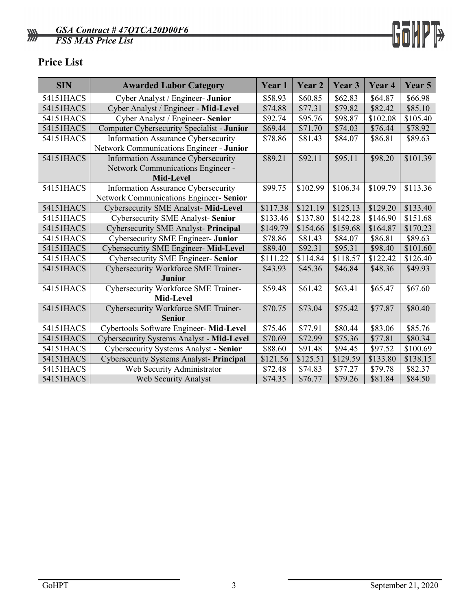

## <span id="page-4-0"></span>**Price List**

| <b>SIN</b> | <b>Awarded Labor Category</b>                | Year 1   | Year 2   | Year 3   | Year <sub>4</sub> | Year 5   |
|------------|----------------------------------------------|----------|----------|----------|-------------------|----------|
| 54151HACS  | Cyber Analyst / Engineer- Junior             | \$58.93  | \$60.85  | \$62.83  | \$64.87           | \$66.98  |
| 54151HACS  | Cyber Analyst / Engineer - Mid-Level         | \$74.88  | \$77.31  | \$79.82  | \$82.42           | \$85.10  |
| 54151HACS  | Cyber Analyst / Engineer- Senior             | \$92.74  | \$95.76  | \$98.87  | \$102.08          | \$105.40 |
| 54151HACS  | Computer Cybersecurity Specialist - Junior   | \$69.44  | \$71.70  | \$74.03  | \$76.44           | \$78.92  |
| 54151HACS  | <b>Information Assurance Cybersecurity</b>   | \$78.86  | \$81.43  | \$84.07  | \$86.81           | \$89.63  |
|            | Network Communications Engineer - Junior     |          |          |          |                   |          |
| 54151HACS  | Information Assurance Cybersecurity          | \$89.21  | \$92.11  | \$95.11  | \$98.20           | \$101.39 |
|            | Network Communications Engineer -            |          |          |          |                   |          |
|            | Mid-Level                                    |          |          |          |                   |          |
| 54151HACS  | Information Assurance Cybersecurity          | \$99.75  | \$102.99 | \$106.34 | \$109.79          | \$113.36 |
|            | Network Communications Engineer- Senior      |          |          |          |                   |          |
| 54151HACS  | <b>Cybersecurity SME Analyst-Mid-Level</b>   | \$117.38 | \$121.19 | \$125.13 | \$129.20          | \$133.40 |
| 54151HACS  | <b>Cybersecurity SME Analyst-Senior</b>      | \$133.46 | \$137.80 | \$142.28 | \$146.90          | \$151.68 |
| 54151HACS  | Cybersecurity SME Analyst- Principal         | \$149.79 | \$154.66 | \$159.68 | \$164.87          | \$170.23 |
| 54151HACS  | Cybersecurity SME Engineer- Junior           | \$78.86  | \$81.43  | \$84.07  | \$86.81           | \$89.63  |
| 54151HACS  | <b>Cybersecurity SME Engineer- Mid-Level</b> | \$89.40  | \$92.31  | \$95.31  | \$98.40           | \$101.60 |
| 54151HACS  | Cybersecurity SME Engineer- Senior           | \$111.22 | \$114.84 | \$118.57 | \$122.42          | \$126.40 |
| 54151HACS  | Cybersecurity Workforce SME Trainer-         | \$43.93  | \$45.36  | \$46.84  | \$48.36           | \$49.93  |
|            | Junior                                       |          |          |          |                   |          |
| 54151HACS  | Cybersecurity Workforce SME Trainer-         | \$59.48  | \$61.42  | \$63.41  | \$65.47           | \$67.60  |
|            | Mid-Level                                    |          |          |          |                   |          |
| 54151HACS  | Cybersecurity Workforce SME Trainer-         | \$70.75  | \$73.04  | \$75.42  | \$77.87           | \$80.40  |
|            | <b>Senior</b>                                |          |          |          |                   |          |
| 54151HACS  | Cybertools Software Engineer- Mid-Level      | \$75.46  | \$77.91  | \$80.44  | \$83.06           | \$85.76  |
| 54151HACS  | Cybersecurity Systems Analyst - Mid-Level    | \$70.69  | \$72.99  | \$75.36  | \$77.81           | \$80.34  |
| 54151HACS  | Cybersecurity Systems Analyst - Senior       | \$88.60  | \$91.48  | \$94.45  | \$97.52           | \$100.69 |
| 54151HACS  | Cybersecurity Systems Analyst- Principal     | \$121.56 | \$125.51 | \$129.59 | \$133.80          | \$138.15 |
| 54151HACS  | Web Security Administrator                   | \$72.48  | \$74.83  | \$77.27  | \$79.78           | \$82.37  |
| 54151HACS  | Web Security Analyst                         | \$74.35  | \$76.77  | \$79.26  | \$81.84           | \$84.50  |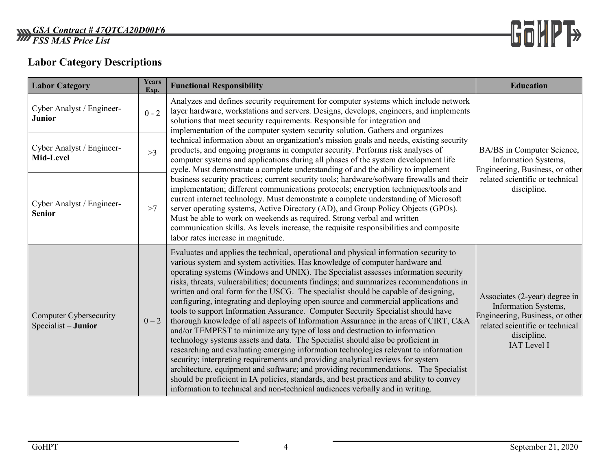

# **Labor Category Descriptions**

<span id="page-5-0"></span>

| <b>Labor Category</b>                                | Years<br>Exp. | <b>Functional Responsibility</b>                                                                                                                                                                                                                                                                                                                                                                                                                                                                                                                                                                                                                                                                                                                                                                                                                                                                                                                                                                                                                                                                                                                                                                                                                                                                                              | <b>Education</b>                                                                                                                                                 |
|------------------------------------------------------|---------------|-------------------------------------------------------------------------------------------------------------------------------------------------------------------------------------------------------------------------------------------------------------------------------------------------------------------------------------------------------------------------------------------------------------------------------------------------------------------------------------------------------------------------------------------------------------------------------------------------------------------------------------------------------------------------------------------------------------------------------------------------------------------------------------------------------------------------------------------------------------------------------------------------------------------------------------------------------------------------------------------------------------------------------------------------------------------------------------------------------------------------------------------------------------------------------------------------------------------------------------------------------------------------------------------------------------------------------|------------------------------------------------------------------------------------------------------------------------------------------------------------------|
| Cyber Analyst / Engineer-<br><b>Junior</b>           | $0 - 2$       | Analyzes and defines security requirement for computer systems which include network<br>layer hardware, workstations and servers. Designs, develops, engineers, and implements<br>solutions that meet security requirements. Responsible for integration and<br>implementation of the computer system security solution. Gathers and organizes                                                                                                                                                                                                                                                                                                                                                                                                                                                                                                                                                                                                                                                                                                                                                                                                                                                                                                                                                                                |                                                                                                                                                                  |
| Cyber Analyst / Engineer-<br>Mid-Level               | >3            | technical information about an organization's mission goals and needs, existing security<br>products, and ongoing programs in computer security. Performs risk analyses of<br>computer systems and applications during all phases of the system development life<br>cycle. Must demonstrate a complete understanding of and the ability to implement                                                                                                                                                                                                                                                                                                                                                                                                                                                                                                                                                                                                                                                                                                                                                                                                                                                                                                                                                                          | BA/BS in Computer Science,<br>Information Systems,<br>Engineering, Business, or other<br>related scientific or technical<br>discipline.                          |
| Cyber Analyst / Engineer-<br><b>Senior</b>           | >7            | business security practices; current security tools; hardware/software firewalls and their<br>implementation; different communications protocols; encryption techniques/tools and<br>current internet technology. Must demonstrate a complete understanding of Microsoft<br>server operating systems, Active Directory (AD), and Group Policy Objects (GPOs).<br>Must be able to work on weekends as required. Strong verbal and written<br>communication skills. As levels increase, the requisite responsibilities and composite<br>labor rates increase in magnitude.                                                                                                                                                                                                                                                                                                                                                                                                                                                                                                                                                                                                                                                                                                                                                      |                                                                                                                                                                  |
| <b>Computer Cybersecurity</b><br>Specialist - Junior | $0 - 2$       | Evaluates and applies the technical, operational and physical information security to<br>various system and system activities. Has knowledge of computer hardware and<br>operating systems (Windows and UNIX). The Specialist assesses information security<br>risks, threats, vulnerabilities; documents findings; and summarizes recommendations in<br>written and oral form for the USCG. The specialist should be capable of designing,<br>configuring, integrating and deploying open source and commercial applications and<br>tools to support Information Assurance. Computer Security Specialist should have<br>thorough knowledge of all aspects of Information Assurance in the areas of CIRT, C&A<br>and/or TEMPEST to minimize any type of loss and destruction to information<br>technology systems assets and data. The Specialist should also be proficient in<br>researching and evaluating emerging information technologies relevant to information<br>security; interpreting requirements and providing analytical reviews for system<br>architecture, equipment and software; and providing recommendations. The Specialist<br>should be proficient in IA policies, standards, and best practices and ability to convey<br>information to technical and non-technical audiences verbally and in writing. | Associates (2-year) degree in<br>Information Systems,<br>Engineering, Business, or other<br>related scientific or technical<br>discipline.<br><b>IAT</b> Level I |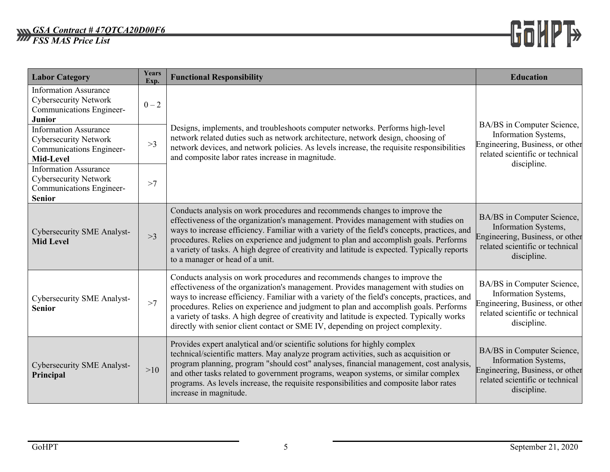#### *GSA Contract # 47QTCA20D00F6 FSS MAS Price List*



| <b>Labor Category</b>                                                                                     | Years<br>Exp. | <b>Functional Responsibility</b>                                                                                                                                                                                                                                                                                                                                                                                                                                                                                                          | <b>Education</b>                                                                                                                        |
|-----------------------------------------------------------------------------------------------------------|---------------|-------------------------------------------------------------------------------------------------------------------------------------------------------------------------------------------------------------------------------------------------------------------------------------------------------------------------------------------------------------------------------------------------------------------------------------------------------------------------------------------------------------------------------------------|-----------------------------------------------------------------------------------------------------------------------------------------|
| <b>Information Assurance</b><br><b>Cybersecurity Network</b><br>Communications Engineer-<br><b>Junior</b> | $0 - 2$       |                                                                                                                                                                                                                                                                                                                                                                                                                                                                                                                                           | BA/BS in Computer Science,                                                                                                              |
| <b>Information Assurance</b><br><b>Cybersecurity Network</b><br>Communications Engineer-<br>Mid-Level     | >3            | Designs, implements, and troubleshoots computer networks. Performs high-level<br>network related duties such as network architecture, network design, choosing of<br>network devices, and network policies. As levels increase, the requisite responsibilities<br>and composite labor rates increase in magnitude.                                                                                                                                                                                                                        | Information Systems,<br>Engineering, Business, or other<br>related scientific or technical                                              |
| <b>Information Assurance</b><br><b>Cybersecurity Network</b><br>Communications Engineer-<br><b>Senior</b> | >7            |                                                                                                                                                                                                                                                                                                                                                                                                                                                                                                                                           | discipline.                                                                                                                             |
| <b>Cybersecurity SME Analyst-</b><br><b>Mid Level</b>                                                     | >3            | Conducts analysis on work procedures and recommends changes to improve the<br>effectiveness of the organization's management. Provides management with studies on<br>ways to increase efficiency. Familiar with a variety of the field's concepts, practices, and<br>procedures. Relies on experience and judgment to plan and accomplish goals. Performs<br>a variety of tasks. A high degree of creativity and latitude is expected. Typically reports<br>to a manager or head of a unit.                                               | BA/BS in Computer Science,<br>Information Systems,<br>Engineering, Business, or other<br>related scientific or technical<br>discipline. |
| Cybersecurity SME Analyst-<br><b>Senior</b>                                                               | >7            | Conducts analysis on work procedures and recommends changes to improve the<br>effectiveness of the organization's management. Provides management with studies on<br>ways to increase efficiency. Familiar with a variety of the field's concepts, practices, and<br>procedures. Relies on experience and judgment to plan and accomplish goals. Performs<br>a variety of tasks. A high degree of creativity and latitude is expected. Typically works<br>directly with senior client contact or SME IV, depending on project complexity. | BA/BS in Computer Science,<br>Information Systems,<br>Engineering, Business, or other<br>related scientific or technical<br>discipline. |
| <b>Cybersecurity SME Analyst-</b><br>Principal                                                            | >10           | Provides expert analytical and/or scientific solutions for highly complex<br>technical/scientific matters. May analyze program activities, such as acquisition or<br>program planning, program "should cost" analyses, financial management, cost analysis,<br>and other tasks related to government programs, weapon systems, or similar complex<br>programs. As levels increase, the requisite responsibilities and composite labor rates<br>increase in magnitude.                                                                     | BA/BS in Computer Science,<br>Information Systems,<br>Engineering, Business, or other<br>related scientific or technical<br>discipline. |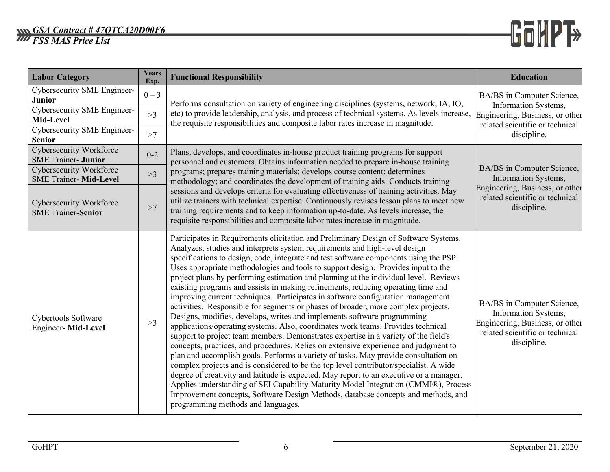#### *GSA Contract # 47QTCA20D00F6 FSS MAS Price List*



| <b>Labor Category</b>                                                              | Years<br>Exp. | <b>Functional Responsibility</b>                                                                                                                                                                                                                                                                                                                                                                                                                                                                                                                                                                                                                                                                                                                                                                                                                                                                                                                                                                                                                                                                                                                                                                                                                                                                                                                                                                                                                                                                                                               | <b>Education</b>                                                                                                                        |  |
|------------------------------------------------------------------------------------|---------------|------------------------------------------------------------------------------------------------------------------------------------------------------------------------------------------------------------------------------------------------------------------------------------------------------------------------------------------------------------------------------------------------------------------------------------------------------------------------------------------------------------------------------------------------------------------------------------------------------------------------------------------------------------------------------------------------------------------------------------------------------------------------------------------------------------------------------------------------------------------------------------------------------------------------------------------------------------------------------------------------------------------------------------------------------------------------------------------------------------------------------------------------------------------------------------------------------------------------------------------------------------------------------------------------------------------------------------------------------------------------------------------------------------------------------------------------------------------------------------------------------------------------------------------------|-----------------------------------------------------------------------------------------------------------------------------------------|--|
| <b>Cybersecurity SME Engineer-</b><br><b>Junior</b><br>Cybersecurity SME Engineer- | $0 - 3$       | Performs consultation on variety of engineering disciplines (systems, network, IA, IO,                                                                                                                                                                                                                                                                                                                                                                                                                                                                                                                                                                                                                                                                                                                                                                                                                                                                                                                                                                                                                                                                                                                                                                                                                                                                                                                                                                                                                                                         | BA/BS in Computer Science,<br>Information Systems,                                                                                      |  |
| Mid-Level                                                                          | >3            | etc) to provide leadership, analysis, and process of technical systems. As levels increase,<br>the requisite responsibilities and composite labor rates increase in magnitude.                                                                                                                                                                                                                                                                                                                                                                                                                                                                                                                                                                                                                                                                                                                                                                                                                                                                                                                                                                                                                                                                                                                                                                                                                                                                                                                                                                 | Engineering, Business, or other<br>related scientific or technical                                                                      |  |
| Cybersecurity SME Engineer-<br><b>Senior</b>                                       | >7            |                                                                                                                                                                                                                                                                                                                                                                                                                                                                                                                                                                                                                                                                                                                                                                                                                                                                                                                                                                                                                                                                                                                                                                                                                                                                                                                                                                                                                                                                                                                                                | discipline.                                                                                                                             |  |
| Cybersecurity Workforce<br><b>SME</b> Trainer- Junior                              | $0 - 2$       | Plans, develops, and coordinates in-house product training programs for support<br>personnel and customers. Obtains information needed to prepare in-house training                                                                                                                                                                                                                                                                                                                                                                                                                                                                                                                                                                                                                                                                                                                                                                                                                                                                                                                                                                                                                                                                                                                                                                                                                                                                                                                                                                            | BA/BS in Computer Science,<br>Information Systems,<br>Engineering, Business, or other<br>related scientific or technical<br>discipline. |  |
| <b>Cybersecurity Workforce</b><br><b>SME Trainer- Mid-Level</b>                    | >3            | programs; prepares training materials; develops course content; determines<br>methodology; and coordinates the development of training aids. Conducts training                                                                                                                                                                                                                                                                                                                                                                                                                                                                                                                                                                                                                                                                                                                                                                                                                                                                                                                                                                                                                                                                                                                                                                                                                                                                                                                                                                                 |                                                                                                                                         |  |
| Cybersecurity Workforce<br><b>SME Trainer-Senior</b>                               | >7            | sessions and develops criteria for evaluating effectiveness of training activities. May<br>utilize trainers with technical expertise. Continuously revises lesson plans to meet new<br>training requirements and to keep information up-to-date. As levels increase, the<br>requisite responsibilities and composite labor rates increase in magnitude.                                                                                                                                                                                                                                                                                                                                                                                                                                                                                                                                                                                                                                                                                                                                                                                                                                                                                                                                                                                                                                                                                                                                                                                        |                                                                                                                                         |  |
| Cybertools Software<br>Engineer-Mid-Level                                          | >3            | Participates in Requirements elicitation and Preliminary Design of Software Systems.<br>Analyzes, studies and interprets system requirements and high-level design<br>specifications to design, code, integrate and test software components using the PSP.<br>Uses appropriate methodologies and tools to support design. Provides input to the<br>project plans by performing estimation and planning at the individual level. Reviews<br>existing programs and assists in making refinements, reducing operating time and<br>improving current techniques. Participates in software configuration management<br>activities. Responsible for segments or phases of broader, more complex projects.<br>Designs, modifies, develops, writes and implements software programming<br>applications/operating systems. Also, coordinates work teams. Provides technical<br>support to project team members. Demonstrates expertise in a variety of the field's<br>concepts, practices, and procedures. Relies on extensive experience and judgment to<br>plan and accomplish goals. Performs a variety of tasks. May provide consultation on<br>complex projects and is considered to be the top level contributor/specialist. A wide<br>degree of creativity and latitude is expected. May report to an executive or a manager.<br>Applies understanding of SEI Capability Maturity Model Integration (CMMI®), Process<br>Improvement concepts, Software Design Methods, database concepts and methods, and<br>programming methods and languages. | BA/BS in Computer Science,<br>Information Systems,<br>Engineering, Business, or other<br>related scientific or technical<br>discipline. |  |